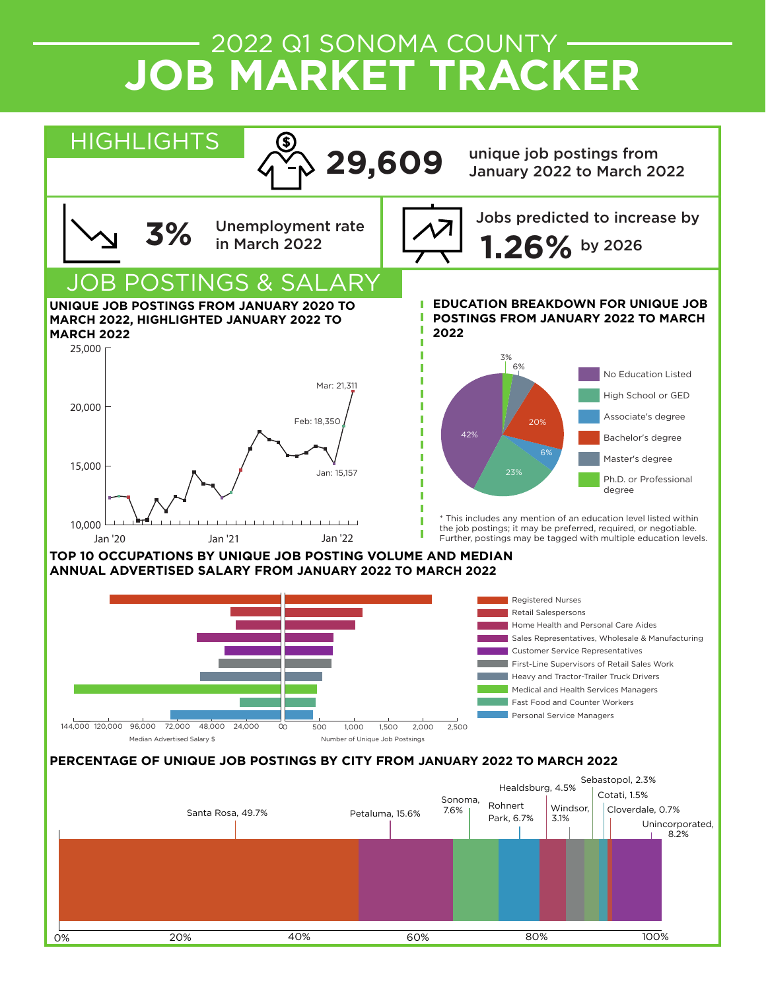# 2022 Q1 SONOMA COUNTY **JOB MARKET TRACKER**